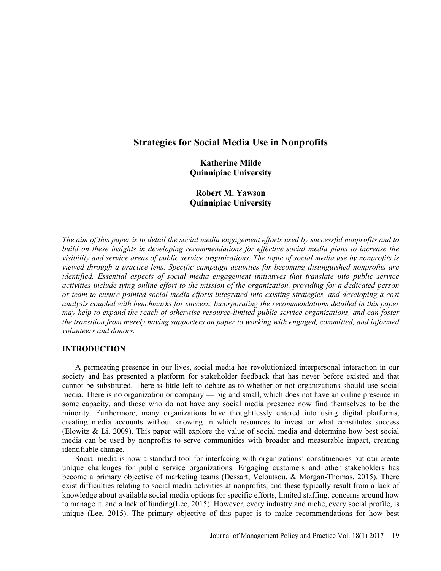# Strategies for Social Media Use in Nonprofits

Katherine Milde Quinnipiac University

Robert M. Yawson Quinnipiac University

The aim of this paper is to detail the social media engagement efforts used by successful nonprofits and to build on these insights in developing recommendations for effective social media plans to increase the visibility and service areas of public service organizations. The topic of social media use by nonprofits is viewed through a practice lens. Specific campaign activities for becoming distinguished nonprofits are identified. Essential aspects of social media engagement initiatives that translate into public service activities include tying online effort to the mission of the organization, providing for a dedicated person or team to ensure pointed social media efforts integrated into existing strategies, and developing a cost analysis coupled with benchmarks for success. Incorporating the recommendations detailed in this paper may help to expand the reach of otherwise resource-limited public service organizations, and can foster the transition from merely having supporters on paper to working with engaged, committed, and informed volunteers and donors.

## INTRODUCTION

A permeating presence in our lives, social media has revolutionized interpersonal interaction in our society and has presented a platform for stakeholder feedback that has never before existed and that cannot be substituted. There is little left to debate as to whether or not organizations should use social media. There is no organization or company — big and small, which does not have an online presence in some capacity, and those who do not have any social media presence now find themselves to be the minority. Furthermore, many organizations have thoughtlessly entered into using digital platforms, creating media accounts without knowing in which resources to invest or what constitutes success (Elowitz & Li, 2009). This paper will explore the value of social media and determine how best social media can be used by nonprofits to serve communities with broader and measurable impact, creating identifiable change.

Social media is now a standard tool for interfacing with organizations' constituencies but can create unique challenges for public service organizations. Engaging customers and other stakeholders has become a primary objective of marketing teams (Dessart, Veloutsou, & Morgan-Thomas, 2015). There exist difficulties relating to social media activities at nonprofits, and these typically result from a lack of knowledge about available social media options for specific efforts, limited staffing, concerns around how to manage it, and a lack of funding(Lee, 2015). However, every industry and niche, every social profile, is unique (Lee, 2015). The primary objective of this paper is to make recommendations for how best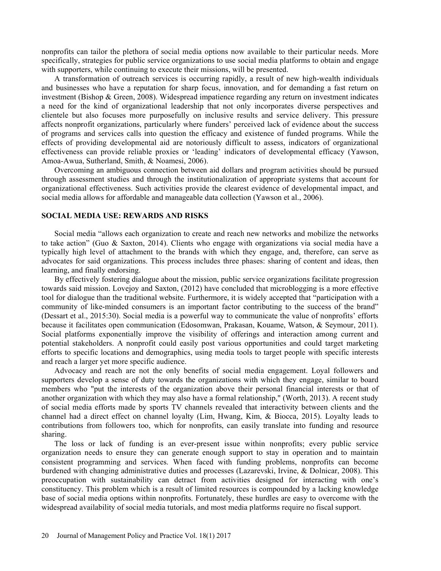nonprofits can tailor the plethora of social media options now available to their particular needs. More specifically, strategies for public service organizations to use social media platforms to obtain and engage with supporters, while continuing to execute their missions, will be presented.

A transformation of outreach services is occurring rapidly, a result of new high-wealth individuals and businesses who have a reputation for sharp focus, innovation, and for demanding a fast return on investment (Bishop & Green, 2008). Widespread impatience regarding any return on investment indicates a need for the kind of organizational leadership that not only incorporates diverse perspectives and clientele but also focuses more purposefully on inclusive results and service delivery. This pressure affects nonprofit organizations, particularly where funders' perceived lack of evidence about the success of programs and services calls into question the efficacy and existence of funded programs. While the effects of providing developmental aid are notoriously difficult to assess, indicators of organizational effectiveness can provide reliable proxies or 'leading' indicators of developmental efficacy (Yawson, Amoa-Awua, Sutherland, Smith, & Noamesi, 2006).

Overcoming an ambiguous connection between aid dollars and program activities should be pursued through assessment studies and through the institutionalization of appropriate systems that account for organizational effectiveness. Such activities provide the clearest evidence of developmental impact, and social media allows for affordable and manageable data collection (Yawson et al., 2006).

### SOCIAL MEDIA USE: REWARDS AND RISKS

Social media "allows each organization to create and reach new networks and mobilize the networks to take action" (Guo & Saxton, 2014). Clients who engage with organizations via social media have a typically high level of attachment to the brands with which they engage, and, therefore, can serve as advocates for said organizations. This process includes three phases: sharing of content and ideas, then learning, and finally endorsing.

By effectively fostering dialogue about the mission, public service organizations facilitate progression towards said mission. Lovejoy and Saxton, (2012) have concluded that microblogging is a more effective tool for dialogue than the traditional website. Furthermore, it is widely accepted that "participation with a community of like-minded consumers is an important factor contributing to the success of the brand (Dessart et al., 2015:30). Social media is a powerful way to communicate the value of nonprofits' efforts because it facilitates open communication (Edosomwan, Prakasan, Kouame, Watson, & Seymour, 2011). Social platforms exponentially improve the visibility of offerings and interaction among current and potential stakeholders. A nonprofit could easily post various opportunities and could target marketing efforts to specific locations and demographics, using media tools to target people with specific interests and reach a larger yet more specific audience.

Advocacy and reach are not the only benefits of social media engagement. Loyal followers and supporters develop a sense of duty towards the organizations with which they engage, similar to board members who "put the interests of the organization above their personal financial interests or that of another organization with which they may also have a formal relationship," (Worth, 2013). A recent study of social media efforts made by sports TV channels revealed that interactivity between clients and the channel had a direct effect on channel loyalty (Lim, Hwang, Kim, & Biocca, 2015). Loyalty leads to contributions from followers too, which for nonprofits, can easily translate into funding and resource sharing.

The loss or lack of funding is an ever-present issue within nonprofits; every public service organization needs to ensure they can generate enough support to stay in operation and to maintain consistent programming and services. When faced with funding problems, nonprofits can become burdened with changing administrative duties and processes (Lazarevski, Irvine, & Dolnicar, 2008). This preoccupation with sustainability can detract from activities designed for interacting with one's constituency. This problem which is a result of limited resources is compounded by a lacking knowledge base of social media options within nonprofits. Fortunately, these hurdles are easy to overcome with the widespread availability of social media tutorials, and most media platforms require no fiscal support.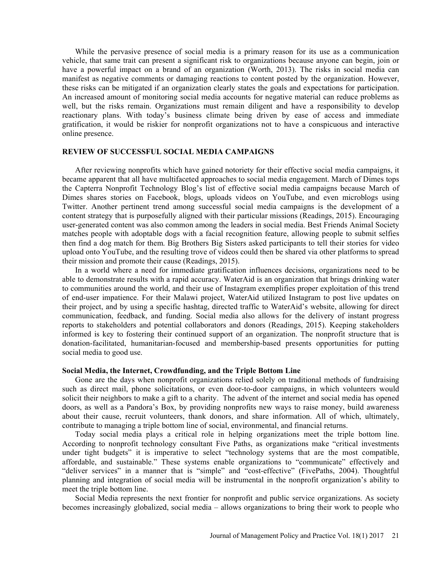While the pervasive presence of social media is a primary reason for its use as a communication vehicle, that same trait can present a significant risk to organizations because anyone can begin, join or have a powerful impact on a brand of an organization (Worth, 2013). The risks in social media can manifest as negative comments or damaging reactions to content posted by the organization. However, these risks can be mitigated if an organization clearly states the goals and expectations for participation. An increased amount of monitoring social media accounts for negative material can reduce problems as well, but the risks remain. Organizations must remain diligent and have a responsibility to develop reactionary plans. With today's business climate being driven by ease of access and immediate gratification, it would be riskier for nonprofit organizations not to have a conspicuous and interactive online presence.

# REVIEW OF SUCCESSFUL SOCIAL MEDIA CAMPAIGNS

After reviewing nonprofits which have gained notoriety for their effective social media campaigns, it became apparent that all have multifaceted approaches to social media engagement. March of Dimes tops the Capterra Nonprofit Technology Blog's list of effective social media campaigns because March of Dimes shares stories on Facebook, blogs, uploads videos on YouTube, and even microblogs using Twitter. Another pertinent trend among successful social media campaigns is the development of a content strategy that is purposefully aligned with their particular missions (Readings, 2015). Encouraging user-generated content was also common among the leaders in social media. Best Friends Animal Society matches people with adoptable dogs with a facial recognition feature, allowing people to submit selfies then find a dog match for them. Big Brothers Big Sisters asked participants to tell their stories for video upload onto YouTube, and the resulting trove of videos could then be shared via other platforms to spread their mission and promote their cause (Readings, 2015).

In a world where a need for immediate gratification influences decisions, organizations need to be able to demonstrate results with a rapid accuracy. WaterAid is an organization that brings drinking water to communities around the world, and their use of Instagram exemplifies proper exploitation of this trend of end-user impatience. For their Malawi project, WaterAid utilized Instagram to post live updates on their project, and by using a specific hashtag, directed traffic to WaterAid's website, allowing for direct communication, feedback, and funding. Social media also allows for the delivery of instant progress reports to stakeholders and potential collaborators and donors (Readings, 2015). Keeping stakeholders informed is key to fostering their continued support of an organization. The nonprofit structure that is donation-facilitated, humanitarian-focused and membership-based presents opportunities for putting social media to good use.

#### Social Media, the Internet, Crowdfunding, and the Triple Bottom Line

Gone are the days when nonprofit organizations relied solely on traditional methods of fundraising such as direct mail, phone solicitations, or even door-to-door campaigns, in which volunteers would solicit their neighbors to make a gift to a charity. The advent of the internet and social media has opened doors, as well as a Pandora's Box, by providing nonprofits new ways to raise money, build awareness about their cause, recruit volunteers, thank donors, and share information. All of which, ultimately, contribute to managing a triple bottom line of social, environmental, and financial returns.

Today social media plays a critical role in helping organizations meet the triple bottom line. According to nonprofit technology consultant Five Paths, as organizations make "critical investments under tight budgets" it is imperative to select "technology systems that are the most compatible, affordable, and sustainable." These systems enable organizations to "communicate" effectively and "deliver services" in a manner that is "simple" and "cost-effective" (FivePaths, 2004). Thoughtful planning and integration of social media will be instrumental in the nonprofit organization's ability to meet the triple bottom line.

Social Media represents the next frontier for nonprofit and public service organizations. As society becomes increasingly globalized, social media – allows organizations to bring their work to people who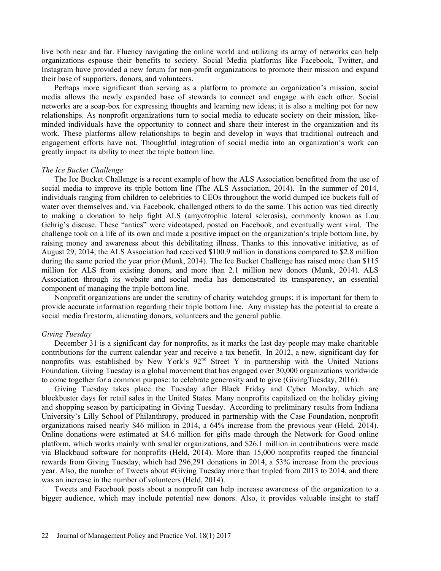live both near and far. Fluency navigating the online world and utilizing its array of networks can help organizations espouse their benefits to society. Social Media platforms like Facebook, Twitter, and Instagram have provided a new forum for non-profit organizations to promote their mission and expand their base of supporters, donors, and volunteers.

Perhaps more significant than serving as a platform to promote an organization's mission, social media allows the newly expanded base of stewards to connect and engage with each other. Social networks are a soap-box for expressing thoughts and learning new ideas; it is also a melting pot for new relationships. As nonprofit organizations turn to social media to educate society on their mission, likeminded individuals have the opportunity to connect and share their interest in the organization and its work. These platforms allow relationships to begin and develop in ways that traditional outreach and engagement efforts have not. Thoughtful integration of social media into an organization's work can greatly impact its ability to meet the triple bottom line.

#### The Ice Bucket Challenge

The Ice Bucket Challenge is a recent example of how the ALS Association benefitted from the use of social media to improve its triple bottom line (The ALS Association, 2014). In the summer of 2014, individuals ranging from children to celebrities to CEOs throughout the world dumped ice buckets full of water over themselves and, via Facebook, challenged others to do the same. This action was tied directly to making a donation to help fight ALS (amyotrophic lateral sclerosis), commonly known as Lou Gehrig's disease. These "antics" were videotaped, posted on Facebook, and eventually went viral. The challenge took on a life of its own and made a positive impact on the organization's triple bottom line, by raising money and awareness about this debilitating illness. Thanks to this innovative initiative, as of August 29, 2014, the ALS Association had received \$100.9 million in donations compared to \$2.8 million during the same period the year prior (Munk, 2014). The Ice Bucket Challenge has raised more than \$115 million for ALS from existing donors, and more than 2.1 million new donors (Munk, 2014). ALS Association through its website and social media has demonstrated its transparency, an essential component of managing the triple bottom line.

Nonprofit organizations are under the scrutiny of charity watchdog groups; it is important for them to provide accurate information regarding their triple bottom line. Any misstep has the potential to create a social media firestorm, alienating donors, volunteers and the general public.

#### Giving Tuesday

December 31 is a significant day for nonprofits, as it marks the last day people may make charitable contributions for the current calendar year and receive a tax benefit. In 2012, a new, significant day for nonprofits was established by New York's  $92<sup>nd</sup>$  Street Y in partnership with the United Nations Foundation. Giving Tuesday is a global movement that has engaged over 30,000 organizations worldwide to come together for a common purpose: to celebrate generosity and to give (GivingTuesday, 2016).

Giving Tuesday takes place the Tuesday after Black Friday and Cyber Monday, which are blockbuster days for retail sales in the United States. Many nonprofits capitalized on the holiday giving and shopping season by participating in Giving Tuesday. According to preliminary results from Indiana University's Lilly School of Philanthropy, produced in partnership with the Case Foundation, nonprofit organizations raised nearly \$46 million in 2014, a 64% increase from the previous year (Held, 2014). Online donations were estimated at \$4.6 million for gifts made through the Network for Good online platform, which works mainly with smaller organizations, and \$26.1 million in contributions were made via Blackbaud software for nonprofits (Held, 2014). More than 15,000 nonprofits reaped the financial rewards from Giving Tuesday, which had 296,291 donations in 2014, a 53% increase from the previous year. Also, the number of Tweets about #Giving Tuesday more than tripled from 2013 to 2014, and there was an increase in the number of volunteers (Held, 2014).

Tweets and Facebook posts about a nonprofit can help increase awareness of the organization to a bigger audience, which may include potential new donors. Also, it provides valuable insight to staff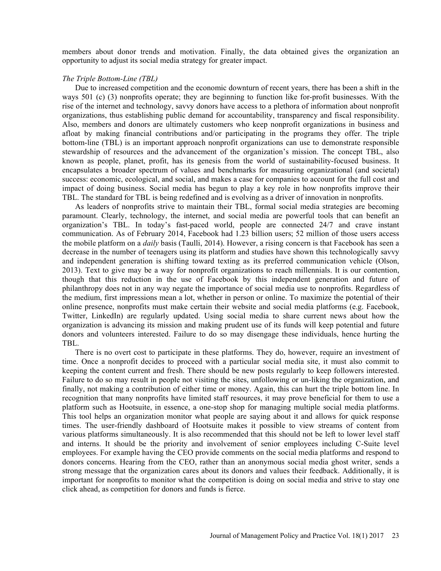members about donor trends and motivation. Finally, the data obtained gives the organization an opportunity to adjust its social media strategy for greater impact.

## The Triple Bottom-Line (TBL)

Due to increased competition and the economic downturn of recent years, there has been a shift in the ways 501 (c) (3) nonprofits operate; they are beginning to function like for-profit businesses. With the rise of the internet and technology, savvy donors have access to a plethora of information about nonprofit organizations, thus establishing public demand for accountability, transparency and fiscal responsibility. Also, members and donors are ultimately customers who keep nonprofit organizations in business and afloat by making financial contributions and/or participating in the programs they offer. The triple bottom-line (TBL) is an important approach nonprofit organizations can use to demonstrate responsible stewardship of resources and the advancement of the organization's mission. The concept TBL, also known as people, planet, profit, has its genesis from the world of sustainability-focused business. It encapsulates a broader spectrum of values and benchmarks for measuring organizational (and societal) success: economic, ecological, and social, and makes a case for companies to account for the full cost and impact of doing business. Social media has begun to play a key role in how nonprofits improve their TBL. The standard for TBL is being redefined and is evolving as a driver of innovation in nonprofits.

As leaders of nonprofits strive to maintain their TBL, formal social media strategies are becoming paramount. Clearly, technology, the internet, and social media are powerful tools that can benefit an organization's TBL. In today's fast-paced world, people are connected 24/7 and crave instant communication. As of February 2014, Facebook had 1.23 billion users; 52 million of those users access the mobile platform on a *daily* basis (Taulli, 2014). However, a rising concern is that Facebook has seen a decrease in the number of teenagers using its platform and studies have shown this technologically savvy and independent generation is shifting toward texting as its preferred communication vehicle (Olson, 2013). Text to give may be a way for nonprofit organizations to reach millennials. It is our contention, though that this reduction in the use of Facebook by this independent generation and future of philanthropy does not in any way negate the importance of social media use to nonprofits. Regardless of the medium, first impressions mean a lot, whether in person or online. To maximize the potential of their online presence, nonprofits must make certain their website and social media platforms (e.g. Facebook, Twitter, LinkedIn) are regularly updated. Using social media to share current news about how the organization is advancing its mission and making prudent use of its funds will keep potential and future donors and volunteers interested. Failure to do so may disengage these individuals, hence hurting the TBL.

There is no overt cost to participate in these platforms. They do, however, require an investment of time. Once a nonprofit decides to proceed with a particular social media site, it must also commit to keeping the content current and fresh. There should be new posts regularly to keep followers interested. Failure to do so may result in people not visiting the sites, unfollowing or un-liking the organization, and finally, not making a contribution of either time or money. Again, this can hurt the triple bottom line. In recognition that many nonprofits have limited staff resources, it may prove beneficial for them to use a platform such as Hootsuite, in essence, a one-stop shop for managing multiple social media platforms. This tool helps an organization monitor what people are saying about it and allows for quick response times. The user-friendly dashboard of Hootsuite makes it possible to view streams of content from various platforms simultaneously. It is also recommended that this should not be left to lower level staff and interns. It should be the priority and involvement of senior employees including C-Suite level employees. For example having the CEO provide comments on the social media platforms and respond to donors concerns. Hearing from the CEO, rather than an anonymous social media ghost writer, sends a strong message that the organization cares about its donors and values their feedback. Additionally, it is important for nonprofits to monitor what the competition is doing on social media and strive to stay one click ahead, as competition for donors and funds is fierce.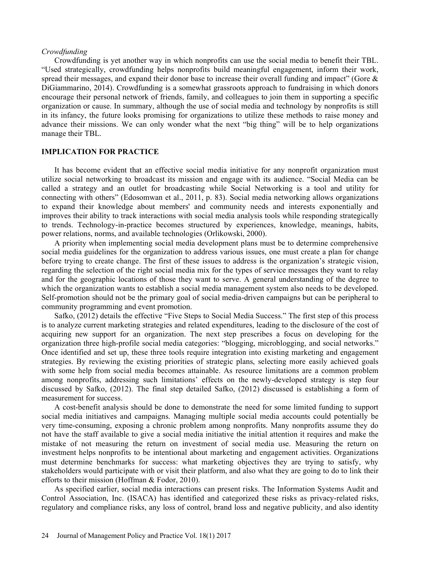### Crowdfunding

Crowdfunding is yet another way in which nonprofits can use the social media to benefit their TBL. Used strategically, crowdfunding helps nonprofits build meaningful engagement, inform their work, spread their messages, and expand their donor base to increase their overall funding and impact" (Gore  $\&$ DiGiammarino, 2014). Crowdfunding is a somewhat grassroots approach to fundraising in which donors encourage their personal network of friends, family, and colleagues to join them in supporting a specific organization or cause. In summary, although the use of social media and technology by nonprofits is still in its infancy, the future looks promising for organizations to utilize these methods to raise money and advance their missions. We can only wonder what the next "big thing" will be to help organizations manage their TBL.

# IMPLICATION FOR PRACTICE

It has become evident that an effective social media initiative for any nonprofit organization must utilize social networking to broadcast its mission and engage with its audience. "Social Media can be called a strategy and an outlet for broadcasting while Social Networking is a tool and utility for connecting with others" (Edosomwan et al., 2011, p. 83). Social media networking allows organizations to expand their knowledge about members' and community needs and interests exponentially and improves their ability to track interactions with social media analysis tools while responding strategically to trends. Technology-in-practice becomes structured by experiences, knowledge, meanings, habits, power relations, norms, and available technologies (Orlikowski, 2000).

A priority when implementing social media development plans must be to determine comprehensive social media guidelines for the organization to address various issues, one must create a plan for change before trying to create change. The first of these issues to address is the organization's strategic vision, regarding the selection of the right social media mix for the types of service messages they want to relay and for the geographic locations of those they want to serve. A general understanding of the degree to which the organization wants to establish a social media management system also needs to be developed. Self-promotion should not be the primary goal of social media-driven campaigns but can be peripheral to community programming and event promotion.

Safko, (2012) details the effective "Five Steps to Social Media Success." The first step of this process is to analyze current marketing strategies and related expenditures, leading to the disclosure of the cost of acquiring new support for an organization. The next step prescribes a focus on developing for the organization three high-profile social media categories: "blogging, microblogging, and social networks." Once identified and set up, these three tools require integration into existing marketing and engagement strategies. By reviewing the existing priorities of strategic plans, selecting more easily achieved goals with some help from social media becomes attainable. As resource limitations are a common problem among nonprofits, addressing such limitations' effects on the newly-developed strategy is step four discussed by Safko, (2012). The final step detailed Safko, (2012) discussed is establishing a form of measurement for success.

A cost-benefit analysis should be done to demonstrate the need for some limited funding to support social media initiatives and campaigns. Managing multiple social media accounts could potentially be very time-consuming, exposing a chronic problem among nonprofits. Many nonprofits assume they do not have the staff available to give a social media initiative the initial attention it requires and make the mistake of not measuring the return on investment of social media use. Measuring the return on investment helps nonprofits to be intentional about marketing and engagement activities. Organizations must determine benchmarks for success: what marketing objectives they are trying to satisfy, why stakeholders would participate with or visit their platform, and also what they are going to do to link their efforts to their mission (Hoffman & Fodor, 2010).

As specified earlier, social media interactions can present risks. The Information Systems Audit and Control Association, Inc. (ISACA) has identified and categorized these risks as privacy-related risks, regulatory and compliance risks, any loss of control, brand loss and negative publicity, and also identity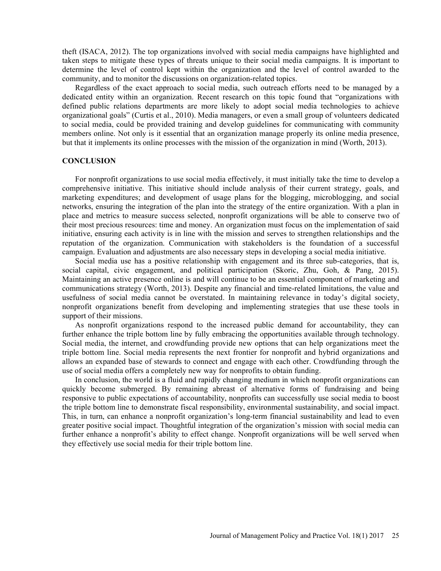theft (ISACA, 2012). The top organizations involved with social media campaigns have highlighted and taken steps to mitigate these types of threats unique to their social media campaigns. It is important to determine the level of control kept within the organization and the level of control awarded to the community, and to monitor the discussions on organization-related topics.

Regardless of the exact approach to social media, such outreach efforts need to be managed by a dedicated entity within an organization. Recent research on this topic found that "organizations with defined public relations departments are more likely to adopt social media technologies to achieve organizational goals" (Curtis et al., 2010). Media managers, or even a small group of volunteers dedicated to social media, could be provided training and develop guidelines for communicating with community members online. Not only is it essential that an organization manage properly its online media presence, but that it implements its online processes with the mission of the organization in mind (Worth, 2013).

# **CONCLUSION**

For nonprofit organizations to use social media effectively, it must initially take the time to develop a comprehensive initiative. This initiative should include analysis of their current strategy, goals, and marketing expenditures; and development of usage plans for the blogging, microblogging, and social networks, ensuring the integration of the plan into the strategy of the entire organization. With a plan in place and metrics to measure success selected, nonprofit organizations will be able to conserve two of their most precious resources: time and money. An organization must focus on the implementation of said initiative, ensuring each activity is in line with the mission and serves to strengthen relationships and the reputation of the organization. Communication with stakeholders is the foundation of a successful campaign. Evaluation and adjustments are also necessary steps in developing a social media initiative.

Social media use has a positive relationship with engagement and its three sub-categories, that is, social capital, civic engagement, and political participation (Skoric, Zhu, Goh, & Pang, 2015). Maintaining an active presence online is and will continue to be an essential component of marketing and communications strategy (Worth, 2013). Despite any financial and time-related limitations, the value and usefulness of social media cannot be overstated. In maintaining relevance in today's digital society, nonprofit organizations benefit from developing and implementing strategies that use these tools in support of their missions.

As nonprofit organizations respond to the increased public demand for accountability, they can further enhance the triple bottom line by fully embracing the opportunities available through technology. Social media, the internet, and crowdfunding provide new options that can help organizations meet the triple bottom line. Social media represents the next frontier for nonprofit and hybrid organizations and allows an expanded base of stewards to connect and engage with each other. Crowdfunding through the use of social media offers a completely new way for nonprofits to obtain funding.

In conclusion, the world is a fluid and rapidly changing medium in which nonprofit organizations can quickly become submerged. By remaining abreast of alternative forms of fundraising and being responsive to public expectations of accountability, nonprofits can successfully use social media to boost the triple bottom line to demonstrate fiscal responsibility, environmental sustainability, and social impact. This, in turn, can enhance a nonprofit organization's long-term financial sustainability and lead to even greater positive social impact. Thoughtful integration of the organization's mission with social media can further enhance a nonprofit's ability to effect change. Nonprofit organizations will be well served when they effectively use social media for their triple bottom line.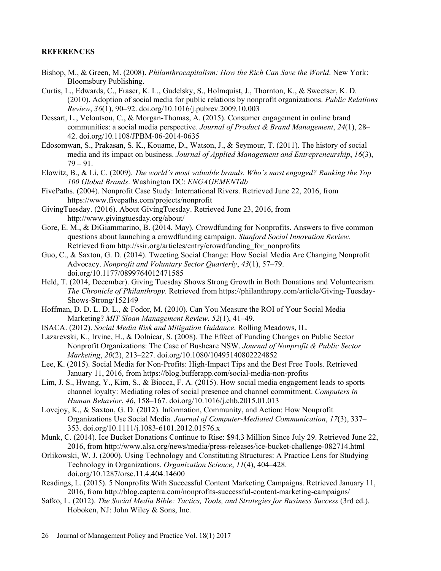# **REFERENCES**

- Bishop, M., & Green, M. (2008). Philanthrocapitalism: How the Rich Can Save the World. New York: Bloomsbury Publishing.
- Curtis, L., Edwards, C., Fraser, K. L., Gudelsky, S., Holmquist, J., Thornton, K., & Sweetser, K. D.  $(2010)$ . Adoption of social media for public relations by nonprofit organizations. *Public Relations* Review, 36(1), 90–92. doi.org/10.1016/j.pubrev.2009.10.003
- Dessart, L., Veloutsou, C., & Morgan-Thomas, A. (2015). Consumer engagement in online brand communities: a social media perspective. Journal of Product & Brand Management, 24(1), 28– 42. doi.org/10.1108/JPBM-06-2014-0635
- Edosomwan, S., Prakasan, S. K., Kouame, D., Watson, J., & Seymour, T. (2011). The history of social media and its impact on business. Journal of Applied Management and Entrepreneurship, 16(3),  $79 - 91.$
- Elowitz, B., & Li, C. (2009). The world's most valuable brands. Who's most engaged? Ranking the Top 100 Global Brands. Washington DC: ENGAGEMENTdb FivePaths. (2004). Nonprofit Case Study: International Rivers. Retrieved June 22, 2016, from
- https://www.fivepaths.com/projects/nonprofit
- GivingTuesday. (2016). About GivingTuesday. Retrieved June 23, 2016, from http://www.givingtuesday.org/about/
- Gore, E. M., & DiGiammarino, B. (2014, May). Crowdfunding for Nonprofits. Answers to five common questions about launching a crowdfunding campaign. Stanford Social Innovation Review.<br>Retrieved from http://ssir.org/articles/entry/crowdfunding\_for\_nonprofits
- Guo, C., & Saxton, G. D. (2014). Tweeting Social Change: How Social Media Are Changing Nonprofit Advocacy. Nonprofit and Voluntary Sector Quarterly, 43(1), 57–79. doi.org/10.1177/0899764012471585
- Held, T. (2014, December). Giving Tuesday Shows Strong Growth in Both Donations and Volunteerism. The Chronicle of Philanthropy. Retrieved from https://philanthropy.com/article/Giving-Tuesday-Shows-Strong/152149
- Hoffman, D. D. L. D. L., & Fodor, M. (2010). Can You Measure the ROI of Your Social Media Marketing? MIT Sloan Management Review, 52(1), 41-49.
- ISACA. (2012). Social Media Risk and Mitigation Guidance. Rolling Meadows, IL.
- Lazarevski, K., Irvine, H., & Dolnicar, S. (2008). The Effect of Funding Changes on Public Sector Nonprofit Organizations: The Case of Bushcare NSW. Journal of Nonprofit & Public Sector Marketing, 20(2), 213-227. doi.org/10.1080/10495140802224852
- Lee, K. (2015). Social Media for Non-Profits: High-Impact Tips and the Best Free Tools. Retrieved January 11, 2016, from https://blog.bufferapp.com/social-media-non-profits
- Lim, J. S., Hwang, Y., Kim, S., & Biocca, F. A. (2015). How social media engagement leads to sports channel loyalty: Mediating roles of social presence and channel commitment. Computers in Human Behavior, 46, 158-167. doi.org/10.1016/j.chb.2015.01.013
- Lovejoy, K., & Saxton, G. D. (2012). Information, Community, and Action: How Nonprofit Organizations Use Social Media. Journal of Computer-Mediated Communication, 17(3), 337 353. doi.org/10.1111/j.1083-6101.2012.01576.x
- Munk, C. (2014). Ice Bucket Donations Continue to Rise: \$94.3 Million Since July 29. Retrieved June 22, 2016, from http://www.alsa.org/news/media/press-releases/ice-bucket-challenge-082714.html
- Orlikowski, W. J. (2000). Using Technology and Constituting Structures: A Practice Lens for Studying Technology in Organizations. Organization Science, 11(4), 404–428. doi.org/10.1287/orsc.11.4.404.14600
- Readings, L. (2015). 5 Nonprofits With Successful Content Marketing Campaigns. Retrieved January 11, 2016, from http://blog.capterra.com/nonprofits-successful-content-marketing-campaigns/
- Safko, L. (2012). The Social Media Bible: Tactics, Tools, and Strategies for Business Success (3rd ed.). Hoboken, NJ: John Wiley & Sons, Inc.